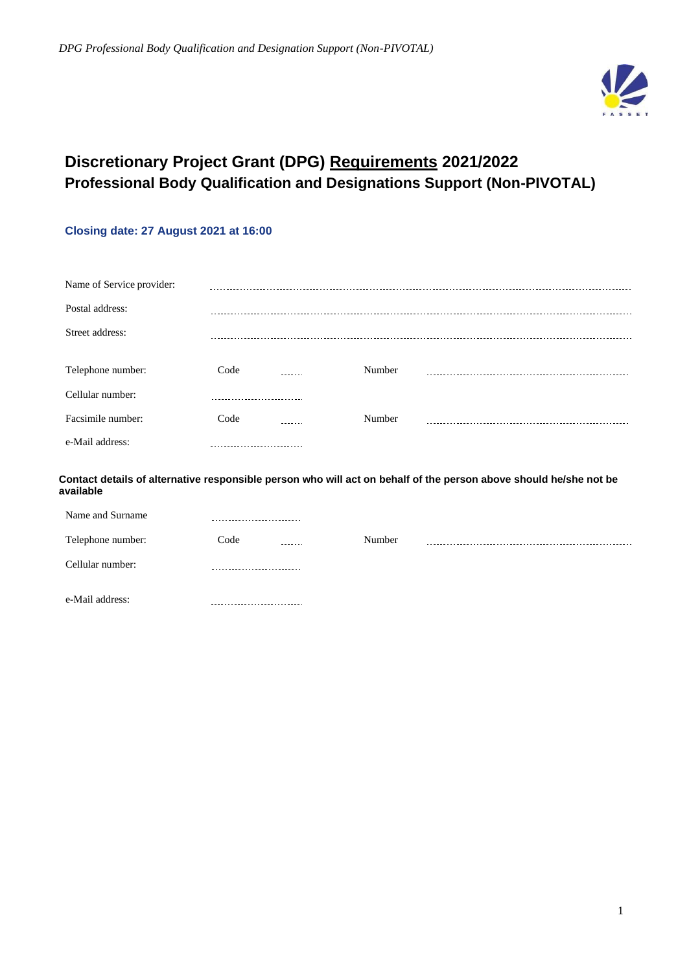

# **Discretionary Project Grant (DPG) Requirements 2021/2022 Professional Body Qualification and Designations Support (Non-PIVOTAL)**

## **Closing date: 27 August 2021 at 16:00**

| Name of Service provider: |      |        |        |  |
|---------------------------|------|--------|--------|--|
| Postal address:           |      |        |        |  |
| Street address:           |      |        |        |  |
|                           |      |        |        |  |
| Telephone number:         | Code | ------ | Number |  |
| Cellular number:          |      |        |        |  |
| Facsimile number:         | Code |        | Number |  |
| e-Mail address:           |      |        |        |  |

**Contact details of alternative responsible person who will act on behalf of the person above should he/she not be available**

| Name and Surname  |                 |        |  |
|-------------------|-----------------|--------|--|
| Telephone number: | Code<br>------- | Number |  |
| Cellular number:  |                 |        |  |
| e-Mail address:   |                 |        |  |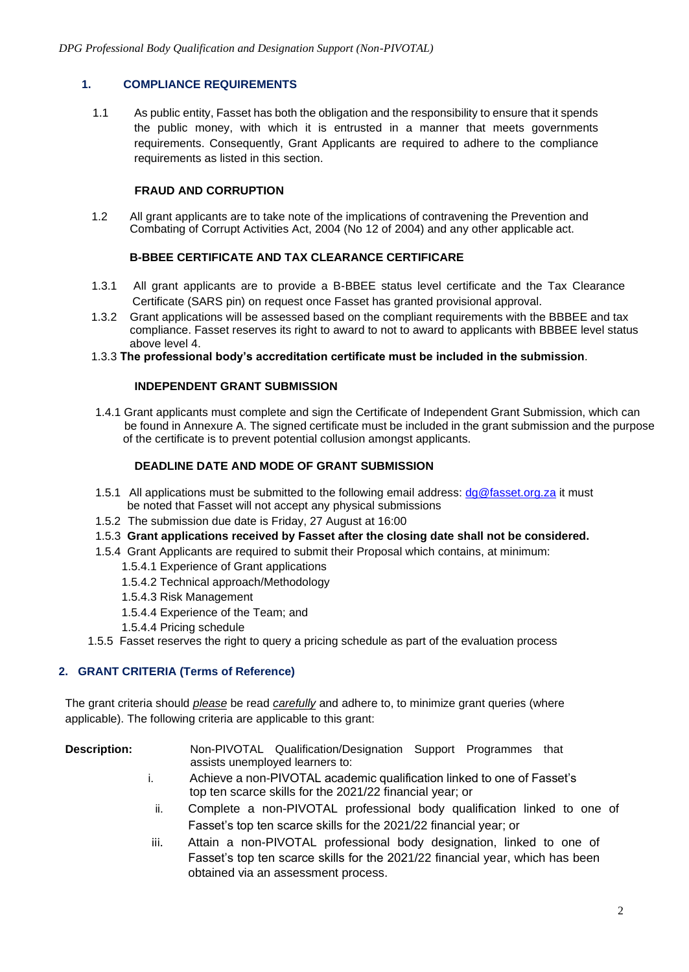## **1. COMPLIANCE REQUIREMENTS**

1.1 As public entity, Fasset has both the obligation and the responsibility to ensure that it spends the public money, with which it is entrusted in a manner that meets governments requirements. Consequently, Grant Applicants are required to adhere to the compliance requirements as listed in this section.

## **FRAUD AND CORRUPTION**

1.2 All grant applicants are to take note of the implications of contravening the Prevention and Combating of Corrupt Activities Act, 2004 (No 12 of 2004) and any other applicable act.

## **B-BBEE CERTIFICATE AND TAX CLEARANCE CERTIFICARE**

- 1.3.1 All grant applicants are to provide a B-BBEE status level certificate and the Tax Clearance Certificate (SARS pin) on request once Fasset has granted provisional approval.
- 1.3.2 Grant applications will be assessed based on the compliant requirements with the BBBEE and tax compliance. Fasset reserves its right to award to not to award to applicants with BBBEE level status above level 4.

#### 1.3.3 **The professional body's accreditation certificate must be included in the submission**.

#### **INDEPENDENT GRANT SUBMISSION**

1.4.1 Grant applicants must complete and sign the Certificate of Independent Grant Submission, which can be found in Annexure A. The signed certificate must be included in the grant submission and the purpose of the certificate is to prevent potential collusion amongst applicants.

#### **DEADLINE DATE AND MODE OF GRANT SUBMISSION**

- 1.5.1 All applications must be submitted to the following email address:  $d\theta \mathcal{Q}$  fasset.org.za it must be noted that Fasset will not accept any physical submissions
- 1.5.2 The submission due date is Friday, 27 August at 16:00
- 1.5.3 **Grant applications received by Fasset after the closing date shall not be considered.**
- 1.5.4 Grant Applicants are required to submit their Proposal which contains, at minimum:
	- 1.5.4.1 Experience of Grant applications
	- 1.5.4.2 Technical approach/Methodology
	- 1.5.4.3 Risk Management
	- 1.5.4.4 Experience of the Team; and
	- 1.5.4.4 Pricing schedule
- 1.5.5 Fasset reserves the right to query a pricing schedule as part of the evaluation process

#### **2. GRANT CRITERIA (Terms of Reference)**

The grant criteria should *please* be read *carefully* and adhere to, to minimize grant queries (where applicable). The following criteria are applicable to this grant:

- **Description:** Non-PIVOTAL Qualification/Designation Support Programmes that assists unemployed learners to:
	- i. Achieve a non-PIVOTAL academic qualification linked to one of Fasset's top ten scarce skills for the 2021/22 financial year; or
	- ii. Complete a non-PIVOTAL professional body qualification linked to one of Fasset's top ten scarce skills for the 2021/22 financial year; or
	- iii. Attain a non-PIVOTAL professional body designation, linked to one of Fasset's top ten scarce skills for the 2021/22 financial year, which has been obtained via an assessment process.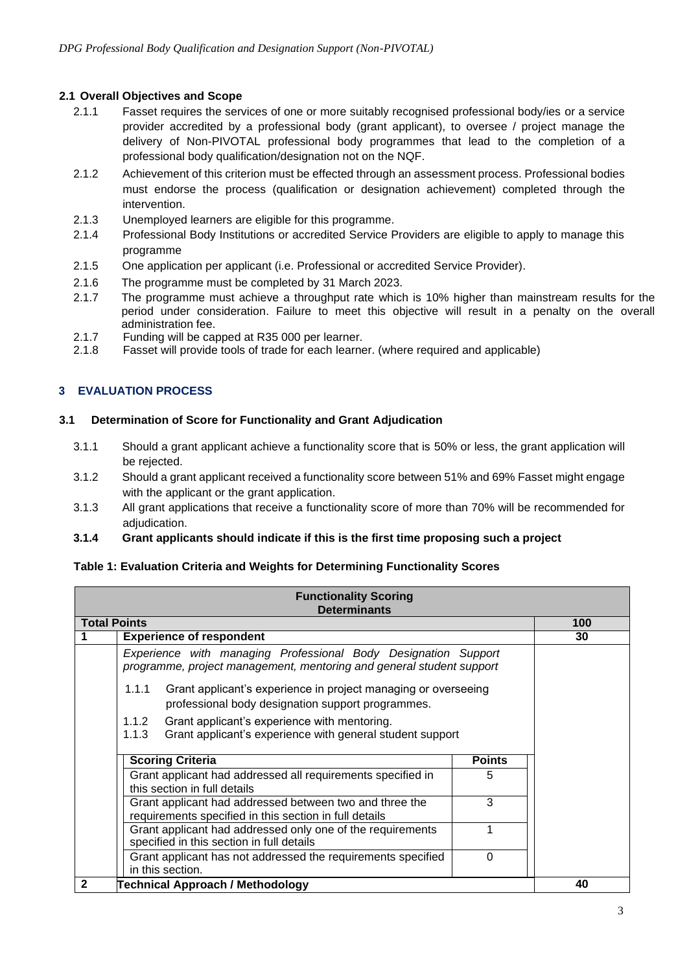## **2.1 Overall Objectives and Scope**

- 2.1.1 Fasset requires the services of one or more suitably recognised professional body/ies or a service provider accredited by a professional body (grant applicant), to oversee / project manage the delivery of Non-PIVOTAL professional body programmes that lead to the completion of a professional body qualification/designation not on the NQF.
- 2.1.2 Achievement of this criterion must be effected through an assessment process. Professional bodies must endorse the process (qualification or designation achievement) completed through the intervention.
- 2.1.3 Unemployed learners are eligible for this programme.
- 2.1.4 Professional Body Institutions or accredited Service Providers are eligible to apply to manage this programme
- 2.1.5 One application per applicant (i.e. Professional or accredited Service Provider).
- 2.1.6 The programme must be completed by 31 March 2023.
- 2.1.7 The programme must achieve a throughput rate which is 10% higher than mainstream results for the period under consideration. Failure to meet this objective will result in a penalty on the overall administration fee.
- 2.1.7 Funding will be capped at R35 000 per learner.
- 2.1.8 Fasset will provide tools of trade for each learner. (where required and applicable)

## **3 EVALUATION PROCESS**

#### **3.1 Determination of Score for Functionality and Grant Adjudication**

- 3.1.1 Should a grant applicant achieve a functionality score that is 50% or less, the grant application will be rejected.
- 3.1.2 Should a grant applicant received a functionality score between 51% and 69% Fasset might engage with the applicant or the grant application.
- 3.1.3 All grant applications that receive a functionality score of more than 70% will be recommended for adjudication.
- **3.1.4 Grant applicants should indicate if this is the first time proposing such a project**

#### **Table 1: Evaluation Criteria and Weights for Determining Functionality Scores**

| <b>Functionality Scoring</b><br><b>Determinants</b>                                                                                    |     |  |  |
|----------------------------------------------------------------------------------------------------------------------------------------|-----|--|--|
| <b>Total Points</b>                                                                                                                    | 100 |  |  |
| <b>Experience of respondent</b>                                                                                                        | 30  |  |  |
| Experience with managing Professional Body Designation Support<br>programme, project management, mentoring and general student support |     |  |  |
| 1.1.1<br>Grant applicant's experience in project managing or overseeing<br>professional body designation support programmes.           |     |  |  |
| 1.1.2<br>Grant applicant's experience with mentoring.<br>1.1.3<br>Grant applicant's experience with general student support            |     |  |  |
| <b>Scoring Criteria</b><br><b>Points</b>                                                                                               |     |  |  |
| Grant applicant had addressed all requirements specified in<br>5<br>this section in full details                                       |     |  |  |
| 3<br>Grant applicant had addressed between two and three the<br>requirements specified in this section in full details                 |     |  |  |
| Grant applicant had addressed only one of the requirements<br>specified in this section in full details                                |     |  |  |
| Grant applicant has not addressed the requirements specified<br>0<br>in this section.                                                  |     |  |  |
| 40<br>2<br><b>Technical Approach / Methodology</b>                                                                                     |     |  |  |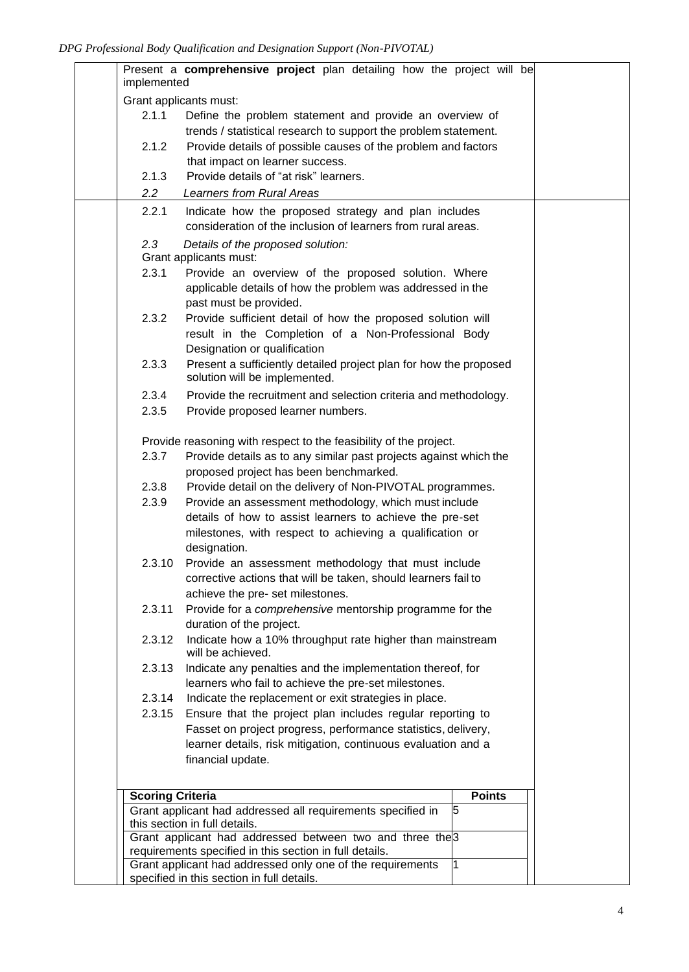| implemented             | Present a comprehensive project plan detailing how the project will be                              |  |
|-------------------------|-----------------------------------------------------------------------------------------------------|--|
|                         | Grant applicants must:                                                                              |  |
| 2.1.1                   | Define the problem statement and provide an overview of                                             |  |
|                         | trends / statistical research to support the problem statement.                                     |  |
| 2.1.2                   | Provide details of possible causes of the problem and factors                                       |  |
|                         | that impact on learner success.                                                                     |  |
| 2.1.3                   | Provide details of "at risk" learners.                                                              |  |
| $2.2\overline{ }$       | <b>Learners from Rural Areas</b>                                                                    |  |
| 2.2.1                   | Indicate how the proposed strategy and plan includes                                                |  |
|                         | consideration of the inclusion of learners from rural areas.                                        |  |
| 2.3                     | Details of the proposed solution:                                                                   |  |
|                         | Grant applicants must:                                                                              |  |
| 2.3.1                   | Provide an overview of the proposed solution. Where                                                 |  |
|                         | applicable details of how the problem was addressed in the                                          |  |
|                         | past must be provided.                                                                              |  |
| 2.3.2                   | Provide sufficient detail of how the proposed solution will                                         |  |
|                         | result in the Completion of a Non-Professional Body                                                 |  |
|                         | Designation or qualification                                                                        |  |
| 2.3.3                   | Present a sufficiently detailed project plan for how the proposed<br>solution will be implemented.  |  |
| 2.3.4                   | Provide the recruitment and selection criteria and methodology.                                     |  |
| 2.3.5                   | Provide proposed learner numbers.                                                                   |  |
|                         |                                                                                                     |  |
|                         | Provide reasoning with respect to the feasibility of the project.                                   |  |
| 2.3.7                   | Provide details as to any similar past projects against which the                                   |  |
| 2.3.8                   | proposed project has been benchmarked.<br>Provide detail on the delivery of Non-PIVOTAL programmes. |  |
| 2.3.9                   | Provide an assessment methodology, which must include                                               |  |
|                         | details of how to assist learners to achieve the pre-set                                            |  |
|                         | milestones, with respect to achieving a qualification or                                            |  |
|                         | designation.                                                                                        |  |
| 2.3.10                  | Provide an assessment methodology that must include                                                 |  |
|                         | corrective actions that will be taken, should learners fail to                                      |  |
|                         | achieve the pre- set milestones.                                                                    |  |
| 2.3.11                  | Provide for a comprehensive mentorship programme for the                                            |  |
|                         | duration of the project.                                                                            |  |
| 2.3.12                  | Indicate how a 10% throughput rate higher than mainstream<br>will be achieved.                      |  |
| 2.3.13                  | Indicate any penalties and the implementation thereof, for                                          |  |
|                         | learners who fail to achieve the pre-set milestones.                                                |  |
| 2.3.14                  | Indicate the replacement or exit strategies in place.                                               |  |
| 2.3.15                  | Ensure that the project plan includes regular reporting to                                          |  |
|                         | Fasset on project progress, performance statistics, delivery,                                       |  |
|                         | learner details, risk mitigation, continuous evaluation and a                                       |  |
|                         | financial update.                                                                                   |  |
|                         |                                                                                                     |  |
| <b>Scoring Criteria</b> | <b>Points</b>                                                                                       |  |
|                         | Grant applicant had addressed all requirements specified in<br>5                                    |  |
|                         | this section in full details.<br>Grant applicant had addressed between two and three the 3          |  |
|                         | requirements specified in this section in full details.                                             |  |
|                         | Grant applicant had addressed only one of the requirements                                          |  |
|                         | specified in this section in full details.                                                          |  |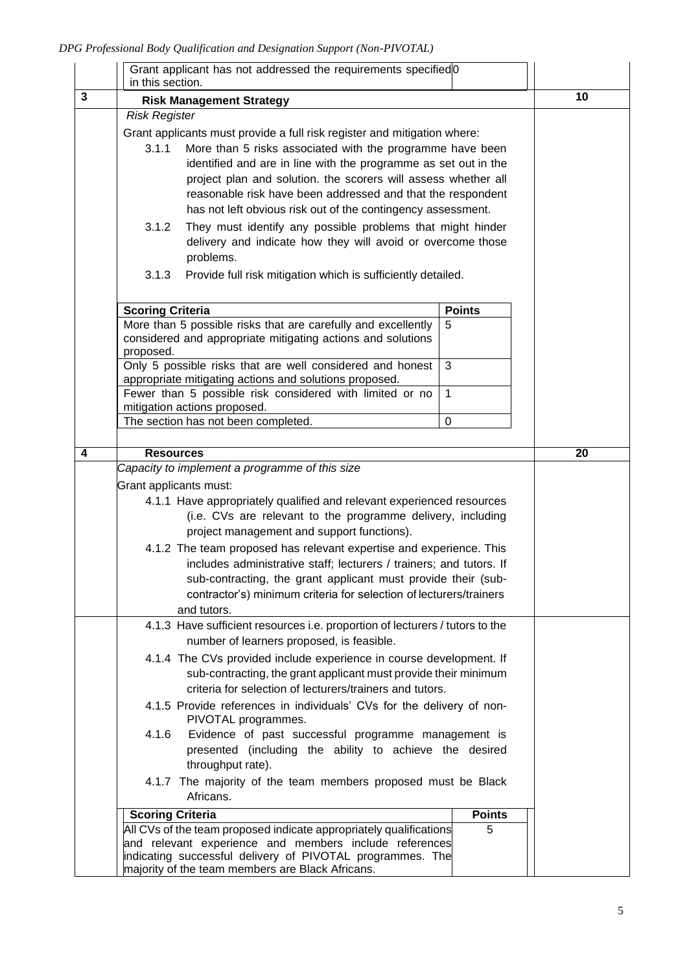|   | in this section.        | Grant applicant has not addressed the requirements specified 0                                                                                                                                                                                                                                                                                                                                            |               |    |
|---|-------------------------|-----------------------------------------------------------------------------------------------------------------------------------------------------------------------------------------------------------------------------------------------------------------------------------------------------------------------------------------------------------------------------------------------------------|---------------|----|
| 3 |                         | <b>Risk Management Strategy</b>                                                                                                                                                                                                                                                                                                                                                                           |               | 10 |
|   | <b>Risk Register</b>    |                                                                                                                                                                                                                                                                                                                                                                                                           |               |    |
|   | 3.1.1                   | Grant applicants must provide a full risk register and mitigation where:<br>More than 5 risks associated with the programme have been<br>identified and are in line with the programme as set out in the<br>project plan and solution. the scorers will assess whether all<br>reasonable risk have been addressed and that the respondent<br>has not left obvious risk out of the contingency assessment. |               |    |
|   | 3.1.2<br>3.1.3          | They must identify any possible problems that might hinder<br>delivery and indicate how they will avoid or overcome those<br>problems.<br>Provide full risk mitigation which is sufficiently detailed.                                                                                                                                                                                                    |               |    |
|   |                         |                                                                                                                                                                                                                                                                                                                                                                                                           |               |    |
|   | <b>Scoring Criteria</b> |                                                                                                                                                                                                                                                                                                                                                                                                           | <b>Points</b> |    |
|   | proposed.               | More than 5 possible risks that are carefully and excellently<br>considered and appropriate mitigating actions and solutions                                                                                                                                                                                                                                                                              | 5             |    |
|   |                         | Only 5 possible risks that are well considered and honest<br>appropriate mitigating actions and solutions proposed.                                                                                                                                                                                                                                                                                       | 3             |    |
|   |                         | Fewer than 5 possible risk considered with limited or no<br>mitigation actions proposed.                                                                                                                                                                                                                                                                                                                  | $\mathbf{1}$  |    |
|   |                         | The section has not been completed.                                                                                                                                                                                                                                                                                                                                                                       | $\mathbf 0$   |    |
|   |                         |                                                                                                                                                                                                                                                                                                                                                                                                           |               |    |
| 4 | <b>Resources</b>        |                                                                                                                                                                                                                                                                                                                                                                                                           |               | 20 |
|   |                         | Capacity to implement a programme of this size                                                                                                                                                                                                                                                                                                                                                            |               |    |
|   | Grant applicants must:  |                                                                                                                                                                                                                                                                                                                                                                                                           |               |    |
|   |                         | 4.1.1 Have appropriately qualified and relevant experienced resources                                                                                                                                                                                                                                                                                                                                     |               |    |
|   |                         | (i.e. CVs are relevant to the programme delivery, including                                                                                                                                                                                                                                                                                                                                               |               |    |
|   |                         | project management and support functions).                                                                                                                                                                                                                                                                                                                                                                |               |    |
|   |                         | 4.1.2 The team proposed has relevant expertise and experience. This<br>includes administrative staff; lecturers / trainers; and tutors. If<br>sub-contracting, the grant applicant must provide their (sub-<br>contractor's) minimum criteria for selection of lecturers/trainers<br>and tutors.                                                                                                          |               |    |
|   |                         | 4.1.3 Have sufficient resources i.e. proportion of lecturers / tutors to the                                                                                                                                                                                                                                                                                                                              |               |    |
|   |                         | number of learners proposed, is feasible.                                                                                                                                                                                                                                                                                                                                                                 |               |    |
|   |                         | 4.1.4 The CVs provided include experience in course development. If<br>sub-contracting, the grant applicant must provide their minimum<br>criteria for selection of lecturers/trainers and tutors.                                                                                                                                                                                                        |               |    |
|   |                         | 4.1.5 Provide references in individuals' CVs for the delivery of non-<br>PIVOTAL programmes.                                                                                                                                                                                                                                                                                                              |               |    |
|   | 4.1.6                   | Evidence of past successful programme management is<br>presented (including the ability to achieve the desired<br>throughput rate).                                                                                                                                                                                                                                                                       |               |    |
|   |                         | 4.1.7 The majority of the team members proposed must be Black<br>Africans.                                                                                                                                                                                                                                                                                                                                |               |    |
|   | <b>Scoring Criteria</b> |                                                                                                                                                                                                                                                                                                                                                                                                           | <b>Points</b> |    |
|   |                         | All CVs of the team proposed indicate appropriately qualifications                                                                                                                                                                                                                                                                                                                                        | 5             |    |
|   |                         | and relevant experience and members include references<br>indicating successful delivery of PIVOTAL programmes. The                                                                                                                                                                                                                                                                                       |               |    |
|   |                         | majority of the team members are Black Africans.                                                                                                                                                                                                                                                                                                                                                          |               |    |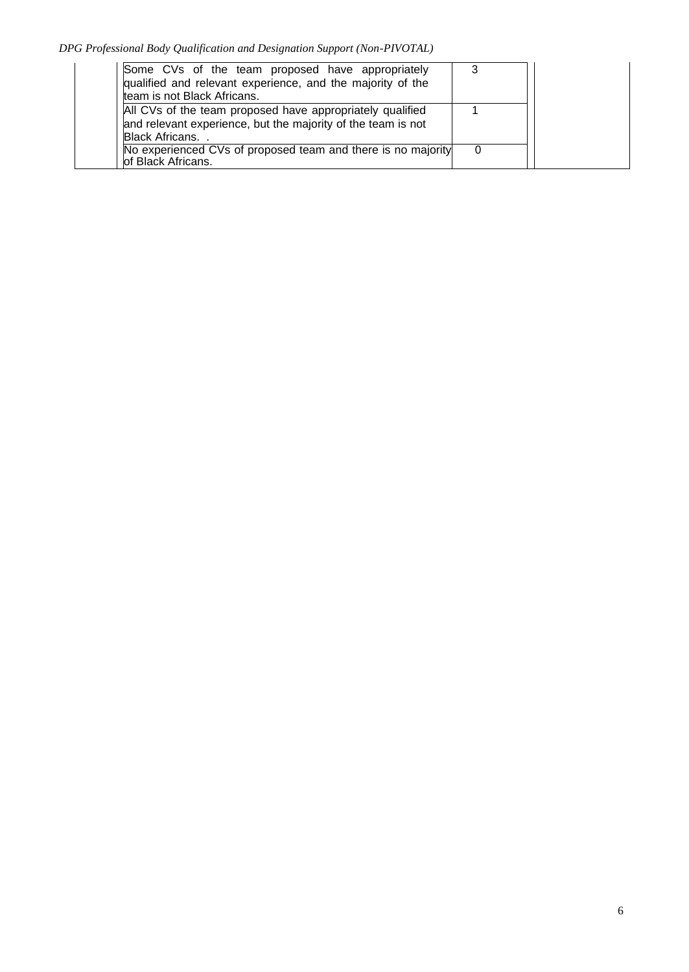*DPG Professional Body Qualification and Designation Support (Non-PIVOTAL)*

| Some CVs of the team proposed have appropriately<br>qualified and relevant experience, and the majority of the<br>team is not Black Africans. |  |
|-----------------------------------------------------------------------------------------------------------------------------------------------|--|
| All CVs of the team proposed have appropriately qualified<br>and relevant experience, but the majority of the team is not<br>Black Africans   |  |
| No experienced CVs of proposed team and there is no majority<br>of Black Africans.                                                            |  |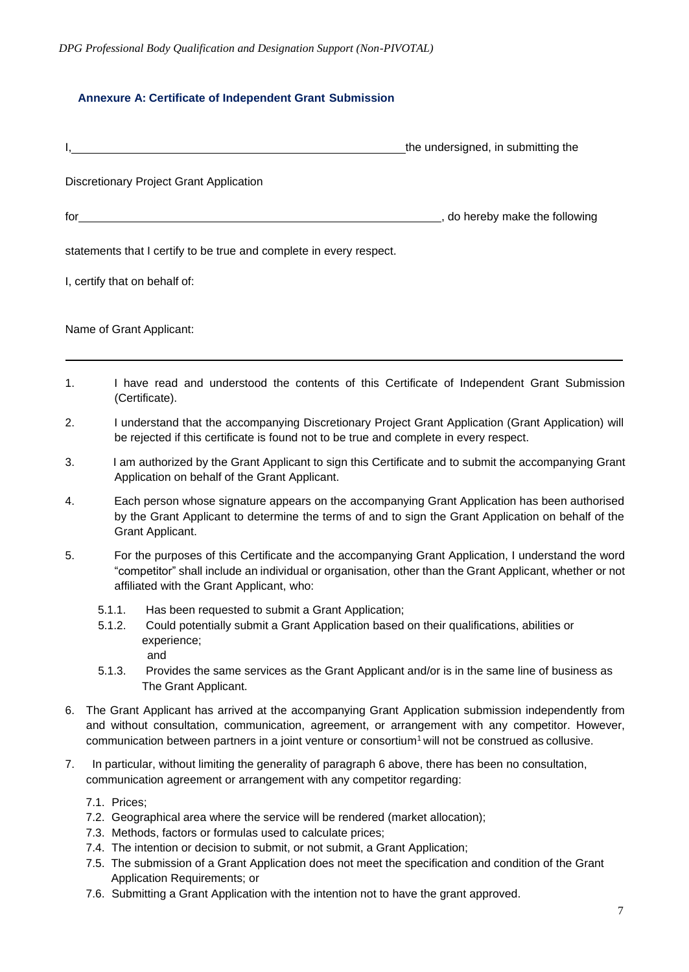## **Annexure A: Certificate of Independent Grant Submission**

|                |                                                                                                                                                                                                                                                                                                                                   | the undersigned, in submitting the  |
|----------------|-----------------------------------------------------------------------------------------------------------------------------------------------------------------------------------------------------------------------------------------------------------------------------------------------------------------------------------|-------------------------------------|
|                | Discretionary Project Grant Application                                                                                                                                                                                                                                                                                           |                                     |
|                | $\int$ for $\frac{1}{\sqrt{2}}$ and $\int$ $\frac{1}{\sqrt{2}}$ and $\int$ $\frac{1}{\sqrt{2}}$ and $\int$ $\frac{1}{\sqrt{2}}$ and $\int$ $\frac{1}{\sqrt{2}}$ and $\int$ $\frac{1}{\sqrt{2}}$ and $\int$ $\frac{1}{\sqrt{2}}$ and $\int$ $\frac{1}{\sqrt{2}}$ and $\int$ $\frac{1}{\sqrt{2}}$ and $\int$ $\frac{1}{\sqrt{2}}$ a | _____, do hereby make the following |
|                | statements that I certify to be true and complete in every respect.                                                                                                                                                                                                                                                               |                                     |
|                | I, certify that on behalf of:                                                                                                                                                                                                                                                                                                     |                                     |
|                | Name of Grant Applicant:                                                                                                                                                                                                                                                                                                          |                                     |
| $\mathbf{1}$ . | I have read and understood the contents of this Certificate of Independent Grant Submission<br>(Certificate).                                                                                                                                                                                                                     |                                     |
| 2.             | I understand that the accompanying Discretionary Project Grant Application (Grant Application) will<br>be rejected if this certificate is found not to be true and complete in every respect.                                                                                                                                     |                                     |
| 3.             | I am authorized by the Grant Applicant to sign this Certificate and to submit the accompanying Grant<br>Application on behalf of the Grant Applicant.                                                                                                                                                                             |                                     |

4. Each person whose signature appears on the accompanying Grant Application has been authorised by the Grant Applicant to determine the terms of and to sign the Grant Application on behalf of the Grant Applicant.

5. For the purposes of this Certificate and the accompanying Grant Application, I understand the word "competitor" shall include an individual or organisation, other than the Grant Applicant, whether or not affiliated with the Grant Applicant, who:

- 5.1.1. Has been requested to submit a Grant Application;
- 5.1.2. Could potentially submit a Grant Application based on their qualifications, abilities or experience;

and

- 5.1.3. Provides the same services as the Grant Applicant and/or is in the same line of business as The Grant Applicant.
- 6. The Grant Applicant has arrived at the accompanying Grant Application submission independently from and without consultation, communication, agreement, or arrangement with any competitor. However, communication between partners in a joint venture or consortium<sup>1</sup> will not be construed as collusive.
- 7. In particular, without limiting the generality of paragraph 6 above, there has been no consultation, communication agreement or arrangement with any competitor regarding:
	- 7.1. Prices;
	- 7.2. Geographical area where the service will be rendered (market allocation);
	- 7.3. Methods, factors or formulas used to calculate prices;
	- 7.4. The intention or decision to submit, or not submit, a Grant Application;
	- 7.5. The submission of a Grant Application does not meet the specification and condition of the Grant Application Requirements; or
	- 7.6. Submitting a Grant Application with the intention not to have the grant approved.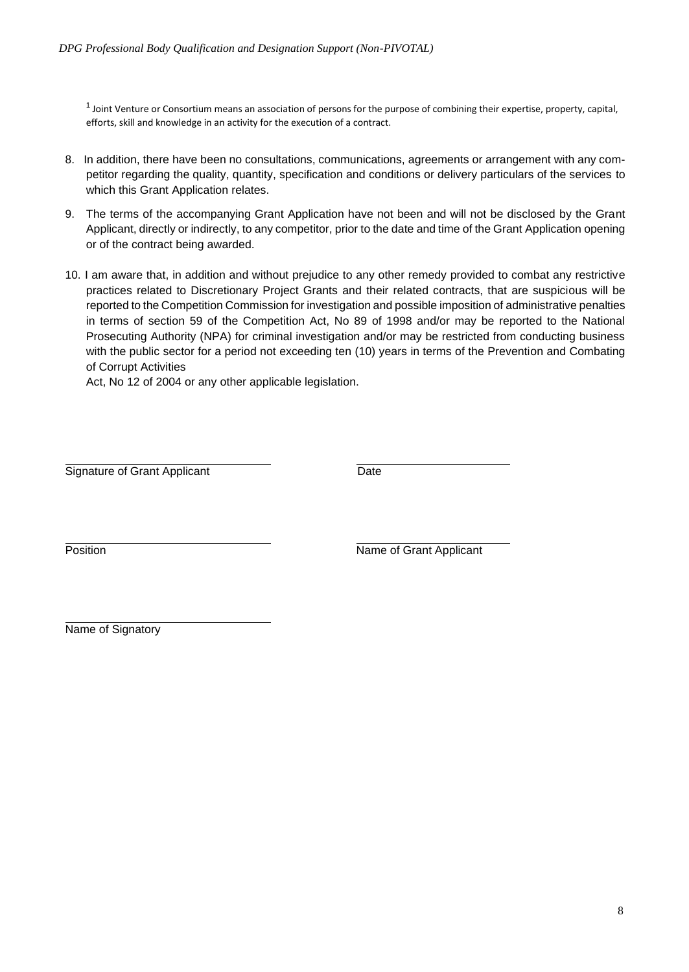$1$  Joint Venture or Consortium means an association of persons for the purpose of combining their expertise, property, capital, efforts, skill and knowledge in an activity for the execution of a contract.

- 8. In addition, there have been no consultations, communications, agreements or arrangement with any competitor regarding the quality, quantity, specification and conditions or delivery particulars of the services to which this Grant Application relates.
- 9. The terms of the accompanying Grant Application have not been and will not be disclosed by the Grant Applicant, directly or indirectly, to any competitor, prior to the date and time of the Grant Application opening or of the contract being awarded.
- 10. I am aware that, in addition and without prejudice to any other remedy provided to combat any restrictive practices related to Discretionary Project Grants and their related contracts, that are suspicious will be reported to the Competition Commission for investigation and possible imposition of administrative penalties in terms of section 59 of the Competition Act, No 89 of 1998 and/or may be reported to the National Prosecuting Authority (NPA) for criminal investigation and/or may be restricted from conducting business with the public sector for a period not exceeding ten (10) years in terms of the Prevention and Combating of Corrupt Activities

Act, No 12 of 2004 or any other applicable legislation.

Signature of Grant Applicant **Date** 

Position **Name of Grant Applicant** 

Name of Signatory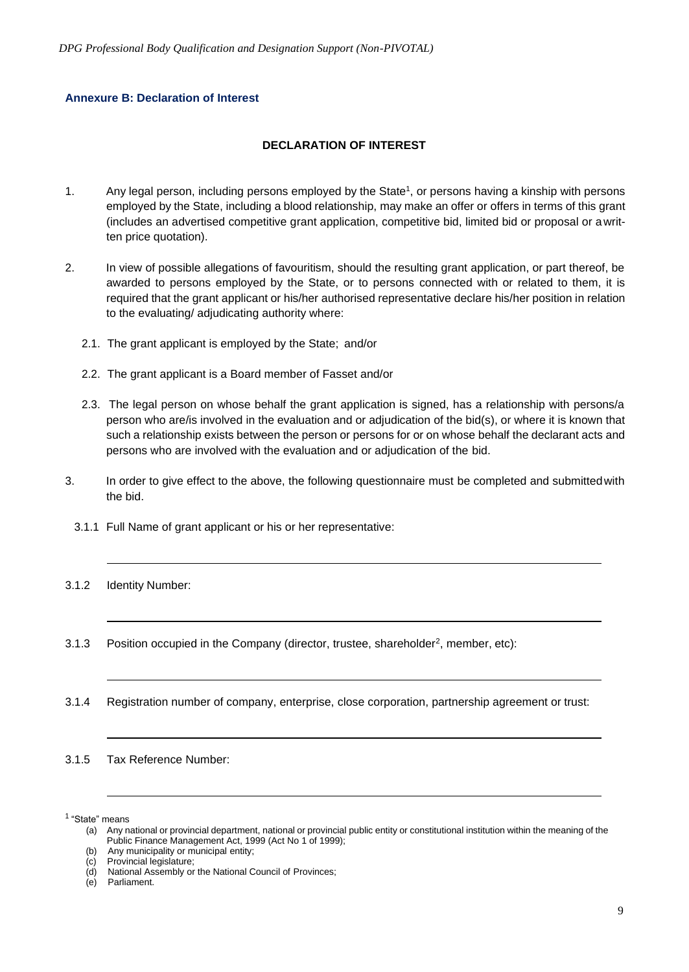#### **Annexure B: Declaration of Interest**

#### **DECLARATION OF INTEREST**

- 1. Any legal person, including persons employed by the State<sup>1</sup>, or persons having a kinship with persons employed by the State, including a blood relationship, may make an offer or offers in terms of this grant (includes an advertised competitive grant application, competitive bid, limited bid or proposal or awritten price quotation).
- 2. In view of possible allegations of favouritism, should the resulting grant application, or part thereof, be awarded to persons employed by the State, or to persons connected with or related to them, it is required that the grant applicant or his/her authorised representative declare his/her position in relation to the evaluating/ adjudicating authority where:
	- 2.1. The grant applicant is employed by the State; and/or
	- 2.2. The grant applicant is a Board member of Fasset and/or
	- 2.3. The legal person on whose behalf the grant application is signed, has a relationship with persons/a person who are/is involved in the evaluation and or adjudication of the bid(s), or where it is known that such a relationship exists between the person or persons for or on whose behalf the declarant acts and persons who are involved with the evaluation and or adjudication of the bid.
- 3. In order to give effect to the above, the following questionnaire must be completed and submittedwith the bid.
	- 3.1.1 Full Name of grant applicant or his or her representative:
- 3.1.2 Identity Number:
- 3.1.3 Position occupied in the Company (director, trustee, shareholder<sup>2</sup>, member, etc):
- 3.1.4 Registration number of company, enterprise, close corporation, partnership agreement or trust:

3.1.5 Tax Reference Number:

<sup>1</sup> "State" means

<sup>(</sup>a) Any national or provincial department, national or provincial public entity or constitutional institution within the meaning of the Public Finance Management Act, 1999 (Act No 1 of 1999);

<sup>(</sup>b) Any municipality or municipal entity;

<sup>(</sup>c) Provincial legislature;

<sup>(</sup>d) National Assembly or the National Council of Provinces;

<sup>(</sup>e) Parliament.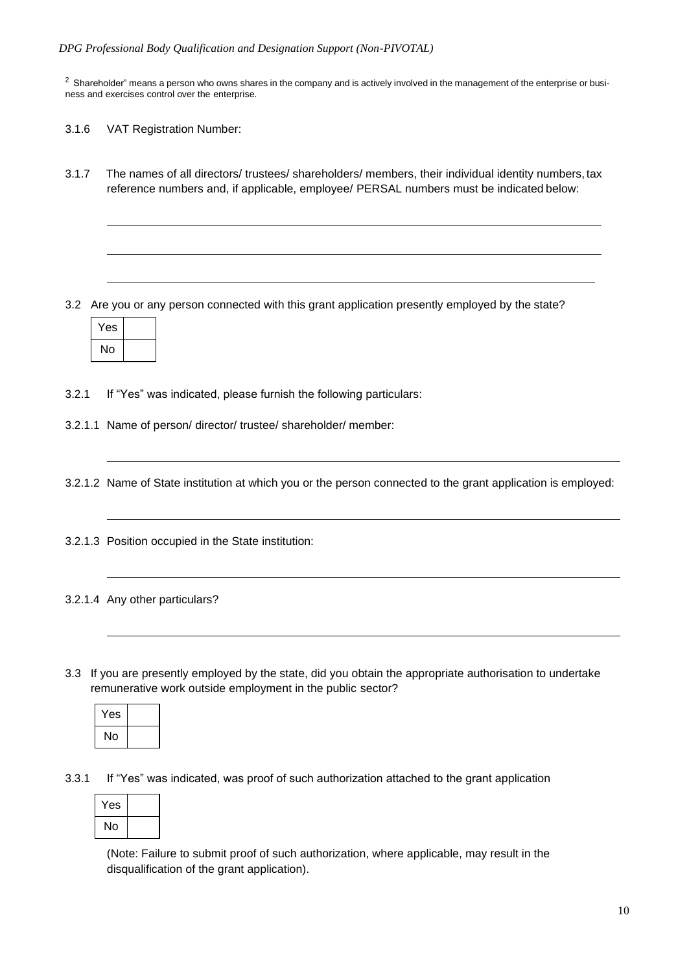$2$  Shareholder" means a person who owns shares in the company and is actively involved in the management of the enterprise or business and exercises control over the enterprise.

- 3.1.6 VAT Registration Number:
- 3.1.7 The names of all directors/ trustees/ shareholders/ members, their individual identity numbers, tax reference numbers and, if applicable, employee/ PERSAL numbers must be indicated below:

3.2 Are you or any person connected with this grant application presently employed by the state?

| 'es |  |
|-----|--|
| N٥  |  |

- 3.2.1 If "Yes" was indicated, please furnish the following particulars:
- 3.2.1.1 Name of person/ director/ trustee/ shareholder/ member:
- 3.2.1.2 Name of State institution at which you or the person connected to the grant application is employed:
- 3.2.1.3 Position occupied in the State institution:
- 3.2.1.4 Any other particulars?
- 3.3 If you are presently employed by the state, did you obtain the appropriate authorisation to undertake remunerative work outside employment in the public sector?

| Yes |  |
|-----|--|
| No  |  |

3.3.1 If "Yes" was indicated, was proof of such authorization attached to the grant application

| Yes |  |
|-----|--|
| No  |  |

(Note: Failure to submit proof of such authorization, where applicable, may result in the disqualification of the grant application).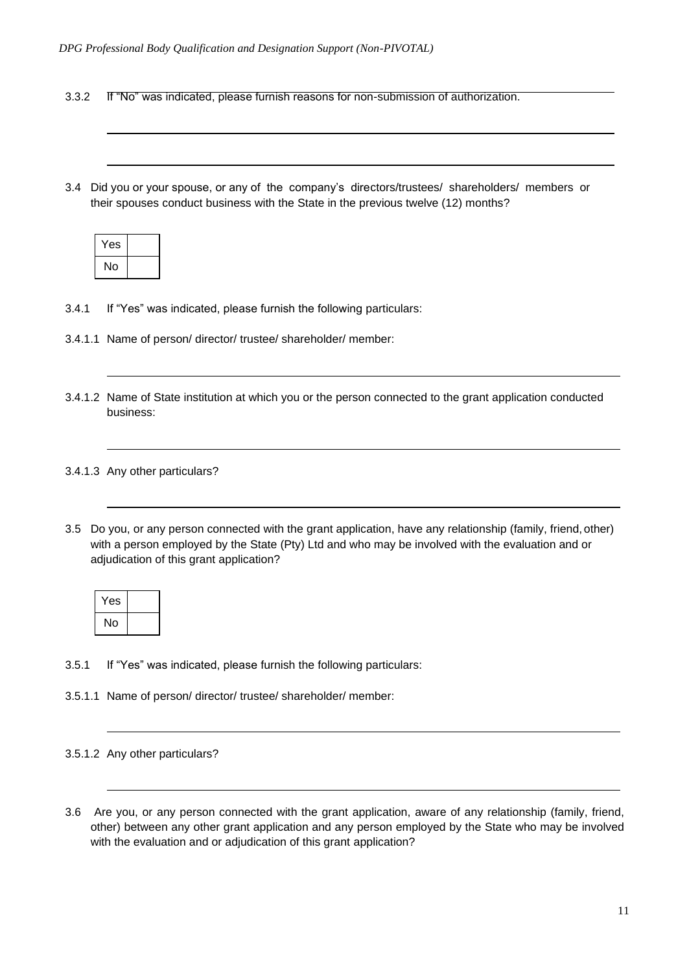- 3.3.2 If "No" was indicated, please furnish reasons for non-submission of authorization.
- 3.4 Did you or your spouse, or any of the company's directors/trustees/ shareholders/ members or their spouses conduct business with the State in the previous twelve (12) months?

| Yes |  |
|-----|--|
| No  |  |

- 3.4.1 If "Yes" was indicated, please furnish the following particulars:
- 3.4.1.1 Name of person/ director/ trustee/ shareholder/ member:
- 3.4.1.2 Name of State institution at which you or the person connected to the grant application conducted business:

#### 3.4.1.3 Any other particulars?

3.5 Do you, or any person connected with the grant application, have any relationship (family, friend, other) with a person employed by the State (Pty) Ltd and who may be involved with the evaluation and or adjudication of this grant application?

| Yes |  |
|-----|--|
| No  |  |

- 3.5.1 If "Yes" was indicated, please furnish the following particulars:
- 3.5.1.1 Name of person/ director/ trustee/ shareholder/ member:

3.6 Are you, or any person connected with the grant application, aware of any relationship (family, friend, other) between any other grant application and any person employed by the State who may be involved with the evaluation and or adjudication of this grant application?

<sup>3.5.1.2</sup> Any other particulars?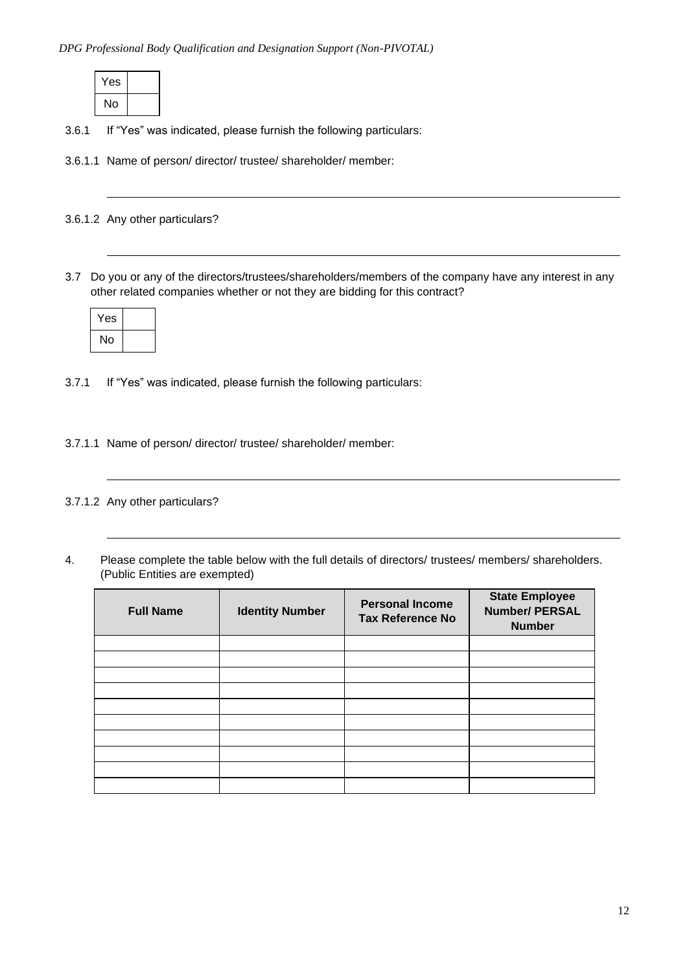| Yes |  |
|-----|--|
| No  |  |

3.6.1 If "Yes" was indicated, please furnish the following particulars:

3.6.1.1 Name of person/ director/ trustee/ shareholder/ member:

3.6.1.2 Any other particulars?

3.7 Do you or any of the directors/trustees/shareholders/members of the company have any interest in any other related companies whether or not they are bidding for this contract?

| Yes |  |
|-----|--|
| No  |  |

3.7.1 If "Yes" was indicated, please furnish the following particulars:

3.7.1.1 Name of person/ director/ trustee/ shareholder/ member:

3.7.1.2 Any other particulars?

4. Please complete the table below with the full details of directors/ trustees/ members/ shareholders. (Public Entities are exempted)

| <b>Full Name</b> | <b>Identity Number</b> | <b>Personal Income</b><br><b>Tax Reference No</b> | <b>State Employee</b><br><b>Number/ PERSAL</b><br><b>Number</b> |
|------------------|------------------------|---------------------------------------------------|-----------------------------------------------------------------|
|                  |                        |                                                   |                                                                 |
|                  |                        |                                                   |                                                                 |
|                  |                        |                                                   |                                                                 |
|                  |                        |                                                   |                                                                 |
|                  |                        |                                                   |                                                                 |
|                  |                        |                                                   |                                                                 |
|                  |                        |                                                   |                                                                 |
|                  |                        |                                                   |                                                                 |
|                  |                        |                                                   |                                                                 |
|                  |                        |                                                   |                                                                 |